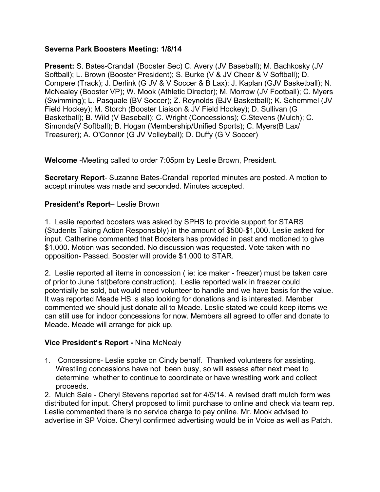#### **Severna Park Boosters Meeting: 1/8/14**

**Present:** S. Bates-Crandall (Booster Sec) C. Avery (JV Baseball); M. Bachkosky (JV Softball); L. Brown (Booster President); S. Burke (V & JV Cheer & V Softball); D. Compere (Track); J. Derlink (G JV & V Soccer & B Lax); J. Kaplan (GJV Basketball); N. McNealey (Booster VP); W. Mook (Athletic Director); M. Morrow (JV Football); C. Myers (Swimming); L. Pasquale (BV Soccer); Z. Reynolds (BJV Basketball); K. Schemmel (JV Field Hockey); M. Storch (Booster Liaison & JV Field Hockey); D. Sullivan (G Basketball); B. Wild (V Baseball); C. Wright (Concessions); C.Stevens (Mulch); C. Simonds(V Softball); B. Hogan (Membership/Unified Sports); C. Myers(B Lax/ Treasurer); A. O'Connor (G JV Volleyball); D. Duffy (G V Soccer)

**Welcome** -Meeting called to order 7:05pm by Leslie Brown, President.

**Secretary Report**- Suzanne Bates-Crandall reported minutes are posted. A motion to accept minutes was made and seconded. Minutes accepted.

### **President's Report**– Leslie Brown

1. Leslie reported boosters was asked by SPHS to provide support for STARS (Students Taking Action Responsibly) in the amount of \$500-\$1,000. Leslie asked for input. Catherine commented that Boosters has provided in past and motioned to give \$1,000. Motion was seconded. No discussion was requested. Vote taken with no opposition- Passed. Booster will provide \$1,000 to STAR.

2. Leslie reported all items in concession ( ie: ice maker - freezer) must be taken care of prior to June 1st(before construction). Leslie reported walk in freezer could potentially be sold, but would need volunteer to handle and we have basis for the value. It was reported Meade HS is also looking for donations and is interested. Member commented we should just donate all to Meade. Leslie stated we could keep items we can still use for indoor concessions for now. Members all agreed to offer and donate to Meade. Meade will arrange for pick up.

#### **Vice President**'**s Report -** Nina McNealy

1. Concessions- Leslie spoke on Cindy behalf. Thanked volunteers for assisting. Wrestling concessions have not been busy, so will assess after next meet to determine whether to continue to coordinate or have wrestling work and collect proceeds.

2. Mulch Sale - Cheryl Stevens reported set for 4/5/14. A revised draft mulch form was distributed for input. Cheryl proposed to limit purchase to online and check via team rep. Leslie commented there is no service charge to pay online. Mr. Mook advised to advertise in SP Voice. Cheryl confirmed advertising would be in Voice as well as Patch.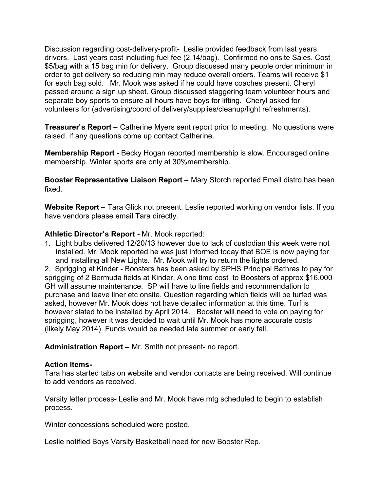Discussion regarding cost-delivery-profit- Leslie provided feedback from last years drivers. Last years cost including fuel fee (2.14/bag). Confirmed no onsite Sales. Cost \$5/bag with a 15 bag min for delivery. Group discussed many people order minimum in order to get delivery so reducing min may reduce overall orders. Teams will receive \$1 for each bag sold. Mr. Mook was asked if he could have coaches present. Cheryl passed around a sign up sheet. Group discussed staggering team volunteer hours and separate boy sports to ensure all hours have boys for lifting. Cheryl asked for volunteers for (advertising/coord of delivery/supplies/cleanup/light refreshments).

**Treasurer**'**s Report** – Catherine Myers sent report prior to meeting. No questions were raised. If any questions come up contact Catherine.

**Membership Report -** Becky Hogan reported membership is slow. Encouraged online membership. Winter sports are only at 30%membership.

**Booster Representative Liaison Report** – Mary Storch reported Email distro has been fixed.

Website Report – Tara Glick not present. Leslie reported working on vendor lists. If you have vendors please email Tara directly.

#### **Athletic Director**'**s Report -** Mr. Mook reported:

1. Light bulbs delivered 12/20/13 however due to lack of custodian this week were not installed. Mr. Mook reported he was just informed today that BOE is now paying for and installing all New Lights. Mr. Mook will try to return the lights ordered.

2. Sprigging at Kinder - Boosters has been asked by SPHS Principal Bathras to pay for sprigging of 2 Bermuda fields at Kinder. A one time cost to Boosters of approx \$16,000 GH will assume maintenance. SP will have to line fields and recommendation to purchase and leave liner etc onsite. Question regarding which fields will be turfed was asked, however Mr. Mook does not have detailed information at this time. Turf is however slated to be installed by April 2014. Booster will need to vote on paying for sprigging, however it was decided to wait until Mr. Mook has more accurate costs (likely May 2014) Funds would be needed late summer or early fall.

**Administration Report** – Mr. Smith not present- no report.

#### **Action Items-**

Tara has started tabs on website and vendor contacts are being received. Will continue to add vendors as received.

Varsity letter process- Leslie and Mr. Mook have mtg scheduled to begin to establish process.

Winter concessions scheduled were posted.

Leslie notified Boys Varsity Basketball need for new Booster Rep.